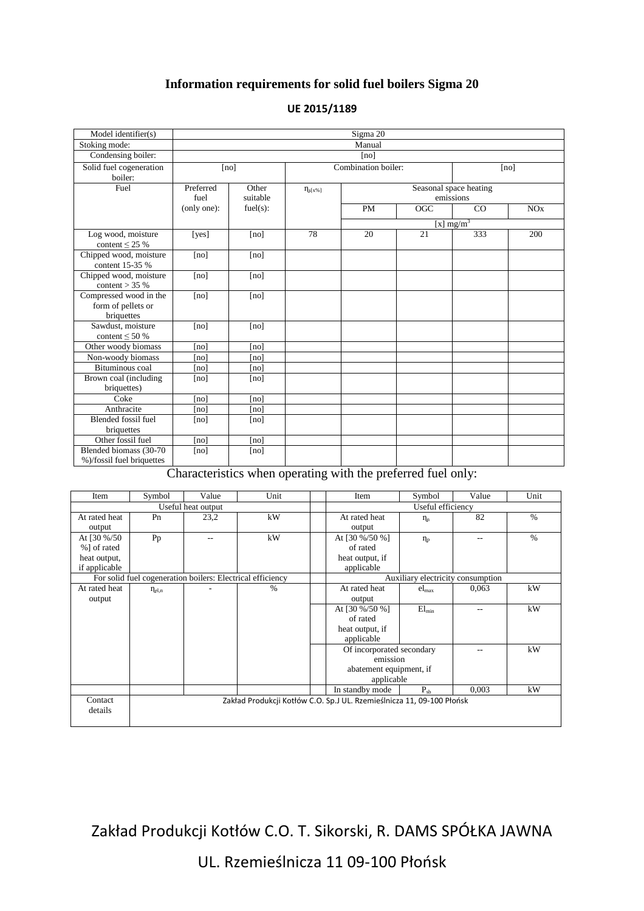## **Information requirements for solid fuel boilers Sigma 20**

| Model identifier(s)                                        | Sigma 20          |                   |                                                        |           |                  |              |     |
|------------------------------------------------------------|-------------------|-------------------|--------------------------------------------------------|-----------|------------------|--------------|-----|
| Stoking mode:                                              | Manual            |                   |                                                        |           |                  |              |     |
| Condensing boiler:                                         | [no]              |                   |                                                        |           |                  |              |     |
| Solid fuel cogeneration<br>boiler:                         | [no]              |                   | Combination boiler:                                    |           |                  | [no]         |     |
| Fuel                                                       | Preferred<br>fuel | Other<br>suitable | Seasonal space heating<br>$\eta_{s[x\%]}$<br>emissions |           |                  |              |     |
|                                                            | (only one):       | fuel(s):          |                                                        | <b>PM</b> | $\overline{OGC}$ | CO           | NOx |
|                                                            |                   |                   |                                                        |           |                  | [x] $mg/m^3$ |     |
| Log wood, moisture<br>content $\leq$ 25 %                  | [yes]             | [no]              | 78                                                     | 20        | 21               | 333          | 200 |
| Chipped wood, moisture<br>content 15-35 %                  | [no]              | [no]              |                                                        |           |                  |              |     |
| Chipped wood, moisture<br>content $>$ 35 %                 | [no]              | [no]              |                                                        |           |                  |              |     |
| Compressed wood in the<br>form of pellets or<br>briquettes | [no]              | [no]              |                                                        |           |                  |              |     |
| Sawdust, moisture<br>content $\leq 50\%$                   | [no]              | [no]              |                                                        |           |                  |              |     |
| Other woody biomass                                        | [no]              | [no]              |                                                        |           |                  |              |     |
| Non-woody biomass                                          | [no]              | [no]              |                                                        |           |                  |              |     |
| <b>Bituminous</b> coal                                     | [no]              | [no]              |                                                        |           |                  |              |     |
| Brown coal (including<br>briquettes)                       | [no]              | [no]              |                                                        |           |                  |              |     |
| Coke                                                       | [no]              | [no]              |                                                        |           |                  |              |     |
| Anthracite                                                 | [no]              | [no]              |                                                        |           |                  |              |     |
| Blended fossil fuel<br>briquettes                          | [no]              | [no]              |                                                        |           |                  |              |     |
| Other fossil fuel                                          | [no]              | [no]              |                                                        |           |                  |              |     |
| Blended biomass (30-70<br>%)/fossil fuel briquettes        | [no]              | [no]              |                                                        |           |                  |              |     |

## **UE 2015/1189**

Characteristics when operating with the preferred fuel only:

| Item                                                                             | Symbol               | Value | Unit          |                                   | Item                      | Symbol            | Value | Unit          |
|----------------------------------------------------------------------------------|----------------------|-------|---------------|-----------------------------------|---------------------------|-------------------|-------|---------------|
| Useful heat output                                                               |                      |       |               | Useful efficiency                 |                           |                   |       |               |
| At rated heat                                                                    | Pn                   | 23,2  | kW            |                                   | At rated heat             | $\eta_n$          | 82    | $\%$          |
| output                                                                           |                      |       |               |                                   | output                    |                   |       |               |
| At $[30\% / 50]$                                                                 | Pp                   | $-$   | kW            |                                   | At [30 %/50 %]            | $\eta_{\rm p}$    | --    | $\frac{0}{0}$ |
| %] of rated                                                                      |                      |       |               |                                   | of rated                  |                   |       |               |
| heat output,                                                                     |                      |       |               |                                   | heat output, if           |                   |       |               |
| if applicable                                                                    |                      |       |               |                                   | applicable                |                   |       |               |
| For solid fuel cogeneration boilers: Electrical efficiency                       |                      |       |               | Auxiliary electricity consumption |                           |                   |       |               |
| At rated heat                                                                    | $\eta_{\text{el,n}}$ |       | $\frac{0}{0}$ |                                   | At rated heat             | $el_{\text{max}}$ | 0,063 | kW            |
| output                                                                           |                      |       |               |                                   | output                    |                   |       |               |
|                                                                                  |                      |       |               |                                   | At [30 %/50 %]            | $El_{min}$        | --    | kW            |
|                                                                                  |                      |       |               |                                   | of rated                  |                   |       |               |
|                                                                                  |                      |       |               |                                   | heat output, if           |                   |       |               |
|                                                                                  |                      |       |               |                                   | applicable                |                   |       |               |
|                                                                                  |                      |       |               |                                   | Of incorporated secondary |                   |       | kW            |
|                                                                                  |                      |       |               |                                   | emission                  |                   |       |               |
|                                                                                  |                      |       |               |                                   | abatement equipment, if   |                   |       |               |
|                                                                                  |                      |       |               |                                   | applicable                |                   |       |               |
|                                                                                  |                      |       |               |                                   | In standby mode           | $P_{sh}$          | 0.003 | kW            |
| Contact<br>Zakład Produkcji Kotłów C.O. Sp.J UL. Rzemieślnicza 11, 09-100 Płońsk |                      |       |               |                                   |                           |                   |       |               |
| details                                                                          |                      |       |               |                                   |                           |                   |       |               |
|                                                                                  |                      |       |               |                                   |                           |                   |       |               |

Zakład Produkcji Kotłów C.O. T. Sikorski, R. DAMS SPÓŁKA JAWNA

UL. Rzemieślnicza 11 09-100 Płońsk